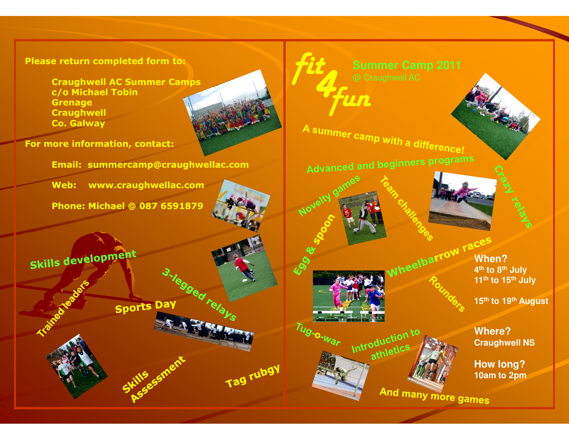## Please return completed form to:

Craughwell AC Summer Campsc/o Michael Tobin**Grenage**  CraughwellCo. Galway

For more information, contact:

Email: summercamp@craughwellac.com

Web: www.craughwellac.com

Phone: Michael @ 087 6591879

Skills development



Novelty game

Tug-o-war

Tag rubgy

**fit**<br>a Craughwell A<br>**Fun** A summer camp with a difference!

Advanced and beginners programs

Introduction to oduction



And many more games

**When? to 8th JulyWheelbarrow races 11th to 15th July**

**15th to 19th August** 

**Where?Craughwell NS**

**How long?10am to 2pm**